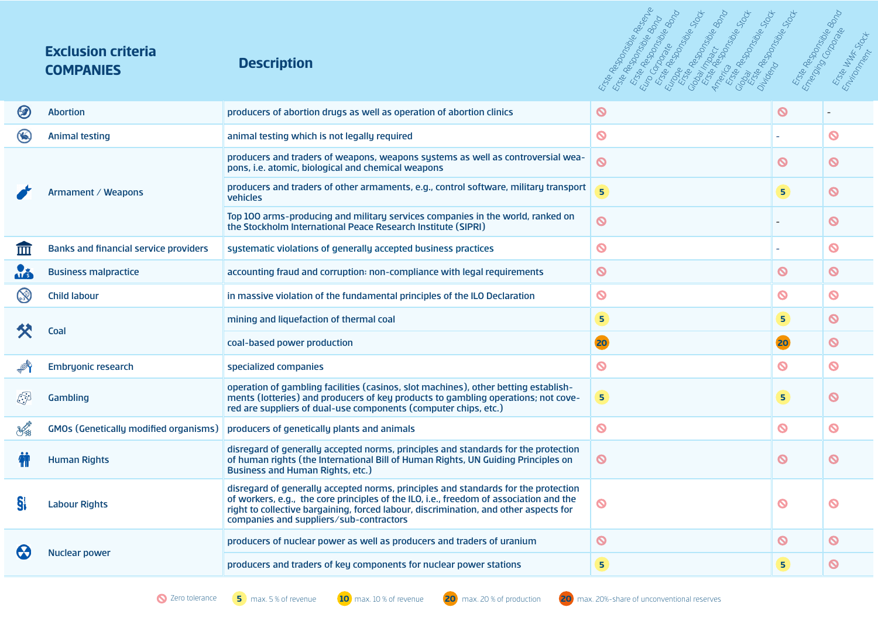### **Exclusion criteria COMPANIES Description**



|              | <b>Abortion</b>                              | producers of abortion drugs as well as operation of abortion clinics                                                                                                                                                                                                                                            | $\boldsymbol{\Omega}$   | $\boldsymbol{\Omega}$ |                            |
|--------------|----------------------------------------------|-----------------------------------------------------------------------------------------------------------------------------------------------------------------------------------------------------------------------------------------------------------------------------------------------------------------|-------------------------|-----------------------|----------------------------|
|              | <b>Animal testing</b>                        | animal testing which is not legally required                                                                                                                                                                                                                                                                    | $\bullet$               |                       | Q                          |
|              | Armament / Weapons                           | producers and traders of weapons, weapons systems as well as controversial wea-<br>pons, i.e. atomic, biological and chemical weapons                                                                                                                                                                           | $\boldsymbol{\delta}$   | $\boldsymbol{\Omega}$ | O                          |
|              |                                              | producers and traders of other armaments, e.g., control software, military transport<br>vehicles                                                                                                                                                                                                                | $\overline{\mathbf{5}}$ | 5 <sub>o</sub>        | $\boldsymbol{\mathcal{O}}$ |
|              |                                              | Top 100 arms-producing and military services companies in the world, ranked on<br>the Stockholm International Peace Research Institute (SIPRI)                                                                                                                                                                  | $\boldsymbol{\delta}$   |                       | $\boldsymbol{\mathsf{O}}$  |
| 而            | <b>Banks and financial service providers</b> | systematic violations of generally accepted business practices                                                                                                                                                                                                                                                  | $\bullet$               |                       | $\boldsymbol{\mathsf{O}}$  |
|              | <b>Business malpractice</b>                  | accounting fraud and corruption: non-compliance with legal requirements                                                                                                                                                                                                                                         | $\bullet$               | $\boldsymbol{\Omega}$ | $\boldsymbol{\mathcal{O}}$ |
|              | <b>Child labour</b>                          | in massive violation of the fundamental principles of the ILO Declaration                                                                                                                                                                                                                                       | $\bullet$               | Q                     | O                          |
|              | Coal                                         | mining and liquefaction of thermal coal                                                                                                                                                                                                                                                                         | 5.                      | 5 <sup>1</sup>        | $\boldsymbol{\Omega}$      |
|              |                                              | coal-based power production                                                                                                                                                                                                                                                                                     | 20                      | 20                    | $\boldsymbol{\mathsf{O}}$  |
|              | <b>Embryonic research</b>                    | specialized companies                                                                                                                                                                                                                                                                                           | $\bullet$               | ര                     | $\boldsymbol{\infty}$      |
| $\mathbb{S}$ | Gambling                                     | operation of gambling facilities (casinos, slot machines), other betting establish-<br>ments (lotteries) and producers of key products to gambling operations; not cove-<br>red are suppliers of dual-use components (computer chips, etc.)                                                                     | 5 <sup>1</sup>          | 5 <sub>1</sub>        | $\boldsymbol{\mathsf{O}}$  |
|              | <b>GMOs (Genetically modified organisms)</b> | producers of genetically plants and animals                                                                                                                                                                                                                                                                     | $\bullet$               | ര                     | $\mathbf O$                |
|              | <b>Human Rights</b>                          | disregard of generally accepted norms, principles and standards for the protection<br>of human rights (the International Bill of Human Rights, UN Guiding Principles on<br><b>Business and Human Rights, etc.)</b>                                                                                              | $\bullet$               | ര                     | Q                          |
|              | <b>Labour Rights</b>                         | disregard of generally accepted norms, principles and standards for the protection<br>of workers, e.g., the core principles of the ILO, i.e., freedom of association and the<br>right to collective bargaining, forced labour, discrimination, and other aspects for<br>companies and suppliers/sub-contractors | $\boldsymbol{\delta}$   | $\boldsymbol{\Omega}$ | $\boldsymbol{\Omega}$      |
|              | <b>Nuclear power</b>                         | producers of nuclear power as well as producers and traders of uranium                                                                                                                                                                                                                                          | $\boldsymbol{\Omega}$   | $\boldsymbol{\sigma}$ | $\boldsymbol{\sigma}$      |
|              |                                              | producers and traders of key components for nuclear power stations                                                                                                                                                                                                                                              | 5                       | 5.                    | $\boldsymbol{\Omega}$      |
|              |                                              |                                                                                                                                                                                                                                                                                                                 |                         |                       |                            |